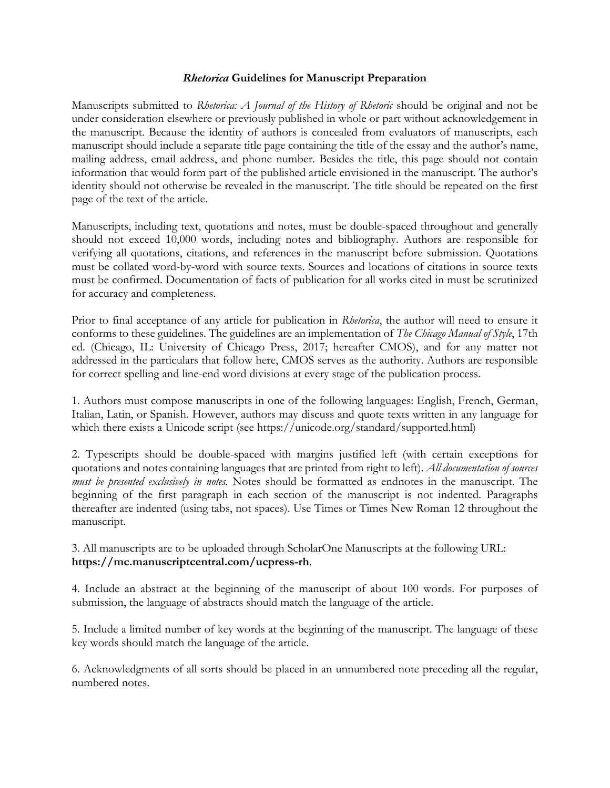### *Rhetorica* **Guidelines for Manuscript Preparation**

Manuscripts submitted to *Rhetorica: A Journal of the History of Rhetoric* should be original and not be under consideration elsewhere or previously published in whole or part without acknowledgement in the manuscript. Because the identity of authors is concealed from evaluators of manuscripts, each manuscript should include a separate title page containing the title of the essay and the author's name, mailing address, email address, and phone number. Besides the title, this page should not contain information that would form part of the published article envisioned in the manuscript. The author's identity should not otherwise be revealed in the manuscript. The title should be repeated on the first page of the text of the article.

Manuscripts, including text, quotations and notes, must be double-spaced throughout and generally should not exceed 10,000 words, including notes and bibliography. Authors are responsible for verifying all quotations, citations, and references in the manuscript before submission. Quotations must be collated word-by-word with source texts. Sources and locations of citations in source texts must be confirmed. Documentation of facts of publication for all works cited in must be scrutinized for accuracy and completeness.

Prior to final acceptance of any article for publication in *Rhetorica*, the author will need to ensure it conforms to these guidelines. The guidelines are an implementation of *The Chicago Manual of Style*, 17th ed. (Chicago, IL: University of Chicago Press, 2017; hereafter CMOS), and for any matter not addressed in the particulars that follow here, CMOS serves as the authority. Authors are responsible for correct spelling and line-end word divisions at every stage of the publication process.

1. Authors must compose manuscripts in one of the following languages: English, French, German, Italian, Latin, or Spanish. However, authors may discuss and quote texts written in any language for which there exists a Unicode script (see https://unicode.org/standard/supported.html)

2. Typescripts should be double-spaced with margins justified left (with certain exceptions for quotations and notes containing languages that are printed from right to left). *All documentation of sources must be presented exclusively in notes.* Notes should be formatted as endnotes in the manuscript. The beginning of the first paragraph in each section of the manuscript is not indented. Paragraphs thereafter are indented (using tabs, not spaces). Use Times or Times New Roman 12 throughout the manuscript.

3. All manuscripts are to be uploaded through ScholarOne Manuscripts at the following URL: **https://mc.manuscriptcentral.com/ucpress-rh**.

4. Include an abstract at the beginning of the manuscript of about 100 words. For purposes of submission, the language of abstracts should match the language of the article.

5. Include a limited number of key words at the beginning of the manuscript. The language of these key words should match the language of the article.

6. Acknowledgments of all sorts should be placed in an unnumbered note preceding all the regular, numbered notes.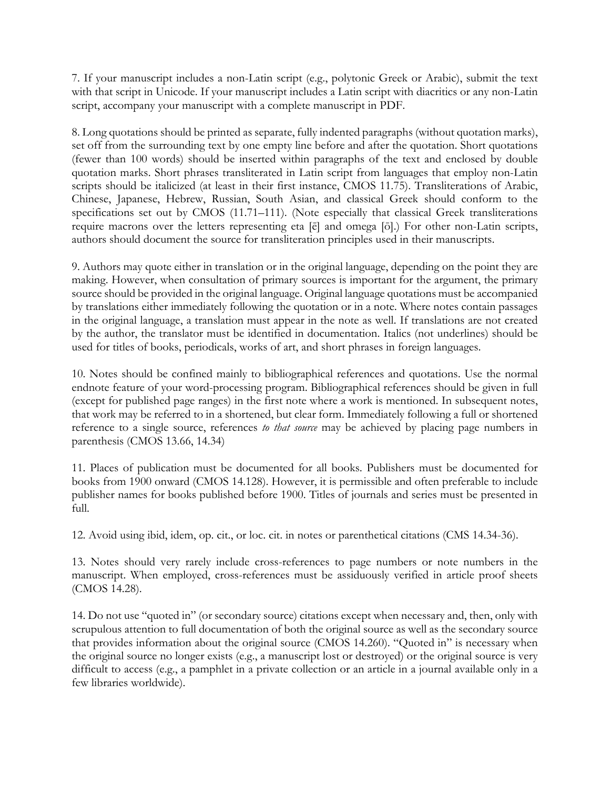7. If your manuscript includes a non-Latin script (e.g., polytonic Greek or Arabic), submit the text with that script in Unicode. If your manuscript includes a Latin script with diacritics or any non-Latin script, accompany your manuscript with a complete manuscript in PDF.

8. Long quotations should be printed as separate, fully indented paragraphs (without quotation marks), set off from the surrounding text by one empty line before and after the quotation. Short quotations (fewer than 100 words) should be inserted within paragraphs of the text and enclosed by double quotation marks. Short phrases transliterated in Latin script from languages that employ non-Latin scripts should be italicized (at least in their first instance, CMOS 11.75). Transliterations of Arabic, Chinese, Japanese, Hebrew, Russian, South Asian, and classical Greek should conform to the specifications set out by CMOS (11.71–111). (Note especially that classical Greek transliterations require macrons over the letters representing eta [ē] and omega [ō].) For other non-Latin scripts, authors should document the source for transliteration principles used in their manuscripts.

9. Authors may quote either in translation or in the original language, depending on the point they are making. However, when consultation of primary sources is important for the argument, the primary source should be provided in the original language. Original language quotations must be accompanied by translations either immediately following the quotation or in a note. Where notes contain passages in the original language, a translation must appear in the note as well. If translations are not created by the author, the translator must be identified in documentation. Italics (not underlines) should be used for titles of books, periodicals, works of art, and short phrases in foreign languages.

10. Notes should be confined mainly to bibliographical references and quotations. Use the normal endnote feature of your word-processing program. Bibliographical references should be given in full (except for published page ranges) in the first note where a work is mentioned. In subsequent notes, that work may be referred to in a shortened, but clear form. Immediately following a full or shortened reference to a single source, references *to that source* may be achieved by placing page numbers in parenthesis (CMOS 13.66, 14.34)

11. Places of publication must be documented for all books. Publishers must be documented for books from 1900 onward (CMOS 14.128). However, it is permissible and often preferable to include publisher names for books published before 1900. Titles of journals and series must be presented in full.

12. Avoid using ibid, idem, op. cit., or loc. cit. in notes or parenthetical citations (CMS 14.34-36).

13. Notes should very rarely include cross-references to page numbers or note numbers in the manuscript. When employed, cross-references must be assiduously verified in article proof sheets (CMOS 14.28).

14. Do not use "quoted in" (or secondary source) citations except when necessary and, then, only with scrupulous attention to full documentation of both the original source as well as the secondary source that provides information about the original source (CMOS 14.260). "Quoted in" is necessary when the original source no longer exists (e.g., a manuscript lost or destroyed) or the original source is very difficult to access (e.g., a pamphlet in a private collection or an article in a journal available only in a few libraries worldwide).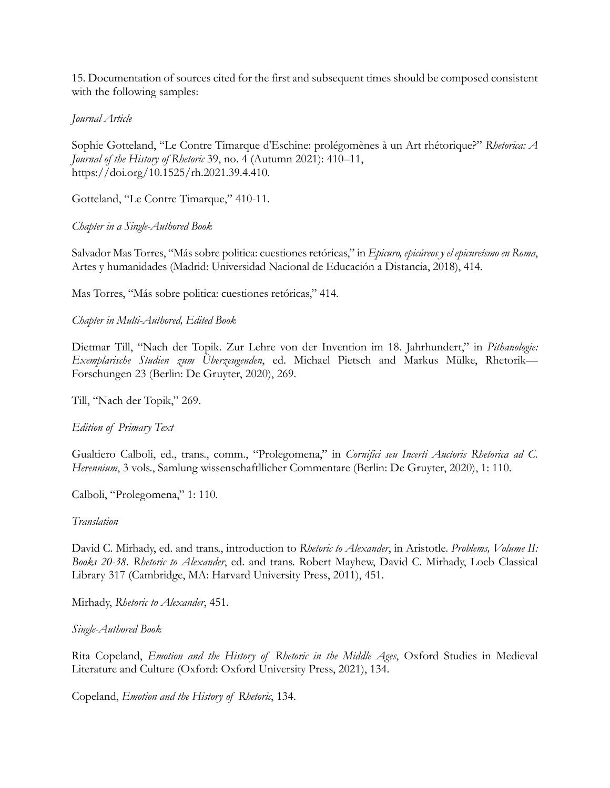15. Documentation of sources cited for the first and subsequent times should be composed consistent with the following samples:

## *Journal Article*

Sophie Gotteland, "Le Contre Timarque d'Eschine: prolégomènes à un Art rhétorique?" *Rhetorica: A Journal of the History of Rhetoric* 39, no. 4 (Autumn 2021): 410–11, https://doi.org/10.1525/rh.2021.39.4.410.

Gotteland, "Le Contre Timarque," 410-11.

## *Chapter in a Single-Authored Book*

Salvador Mas Torres, "Más sobre politica: cuestiones retóricas," in *Epicuro, epicúreos y el epicureísmo en Roma*, Artes y humanidades (Madrid: Universidad Nacional de Educación a Distancia, 2018), 414.

Mas Torres, "Más sobre politica: cuestiones retóricas," 414.

## *Chapter in Multi-Authored, Edited Book*

Dietmar Till, "Nach der Topik. Zur Lehre von der Invention im 18. Jahrhundert," in *Pithanologie: Exemplarische Studien zum Überzeugenden*, ed. Michael Pietsch and Markus Mülke, Rhetorik— Forschungen 23 (Berlin: De Gruyter, 2020), 269.

Till, "Nach der Topik," 269.

# *Edition of Primary Text*

Gualtiero Calboli, ed., trans., comm., "Prolegomena," in *Cornifici seu Incerti Auctoris Rhetorica ad C. Herennium*, 3 vols., Samlung wissenschaftllicher Commentare (Berlin: De Gruyter, 2020), 1: 110.

Calboli, "Prolegomena," 1: 110.

### *Translation*

David C. Mirhady, ed. and trans., introduction to *Rhetoric to Alexander*, in Aristotle. *Problems, Volume II: Books 20-38. Rhetoric to Alexander*, ed. and trans. Robert Mayhew, David C. Mirhady, Loeb Classical Library 317 (Cambridge, MA: Harvard University Press, 2011), 451.

Mirhady, *Rhetoric to Alexander*, 451.

### *Single-Authored Book*

Rita Copeland, *Emotion and the History of Rhetoric in the Middle Ages*, Oxford Studies in Medieval Literature and Culture (Oxford: Oxford University Press, 2021), 134.

Copeland, *Emotion and the History of Rhetoric*, 134.